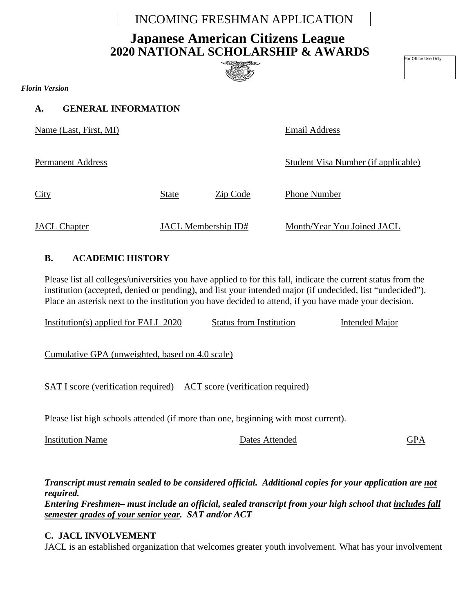## INCOMING FRESHMAN APPLICATION

# **2020 NATIONAL SCHOLARSHIP & AWARDS Japanese American Citizens League**



For Office Use Only

*Florin Version*

**A. GENERAL INFORMATION**

Name (Last, First, MI) Email Address

Permanent Address Student Visa Number (if applicable)

City State Zip Code Phone Number

JACL Chapter JACL Membership ID# Month/Year You Joined JACL

#### **B. ACADEMIC HISTORY**

Please list all colleges/universities you have applied to for this fall, indicate the current status from the institution (accepted, denied or pending), and list your intended major (if undecided, list "undecided"). Place an asterisk next to the institution you have decided to attend, if you have made your decision.

Institution(s) applied for FALL 2020 Status from Institution Intended Major

Cumulative GPA (unweighted, based on 4.0 scale)

SAT I score (verification required) ACT score (verification required)

Please list high schools attended (if more than one, beginning with most current).

Institution Name Dates Attended GPA

*Transcript must remain sealed to be considered official. Additional copies for your application are not required.* 

*Entering Freshmen– must include an official, sealed transcript from your high school that includes fall semester grades of your senior year. SAT and/or ACT* 

#### **C. JACL INVOLVEMENT**

JACL is an established organization that welcomes greater youth involvement. What has your involvement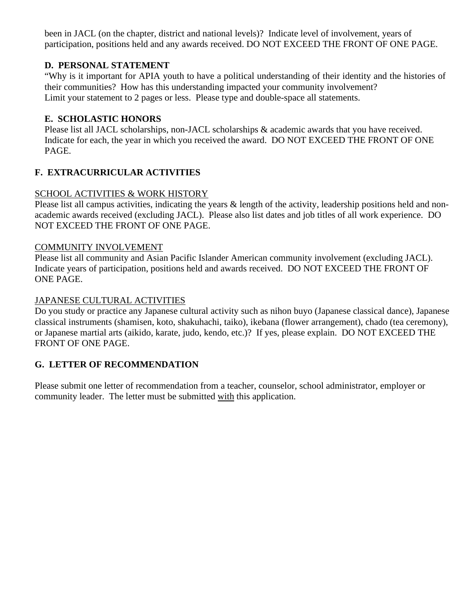been in JACL (on the chapter, district and national levels)? Indicate level of involvement, years of participation, positions held and any awards received. DO NOT EXCEED THE FRONT OF ONE PAGE.

#### **D. PERSONAL STATEMENT**

"Why is it important for APIA youth to have a political understanding of their identity and the histories of their communities? How has this understanding impacted your community involvement? Limit your statement to 2 pages or less. Please type and double-space all statements.

#### **E. SCHOLASTIC HONORS**

Please list all JACL scholarships, non-JACL scholarships & academic awards that you have received. Indicate for each, the year in which you received the award. DO NOT EXCEED THE FRONT OF ONE PAGE.

#### **F. EXTRACURRICULAR ACTIVITIES**

#### SCHOOL ACTIVITIES & WORK HISTORY

Please list all campus activities, indicating the years  $\&$  length of the activity, leadership positions held and nonacademic awards received (excluding JACL). Please also list dates and job titles of all work experience. DO NOT EXCEED THE FRONT OF ONE PAGE.

#### COMMUNITY INVOLVEMENT

Please list all community and Asian Pacific Islander American community involvement (excluding JACL). Indicate years of participation, positions held and awards received. DO NOT EXCEED THE FRONT OF ONE PAGE.

#### JAPANESE CULTURAL ACTIVITIES

Do you study or practice any Japanese cultural activity such as nihon buyo (Japanese classical dance), Japanese classical instruments (shamisen, koto, shakuhachi, taiko), ikebana (flower arrangement), chado (tea ceremony), or Japanese martial arts (aikido, karate, judo, kendo, etc.)? If yes, please explain. DO NOT EXCEED THE FRONT OF ONE PAGE.

### **G. LETTER OF RECOMMENDATION**

Please submit one letter of recommendation from a teacher, counselor, school administrator, employer or community leader. The letter must be submitted with this application.